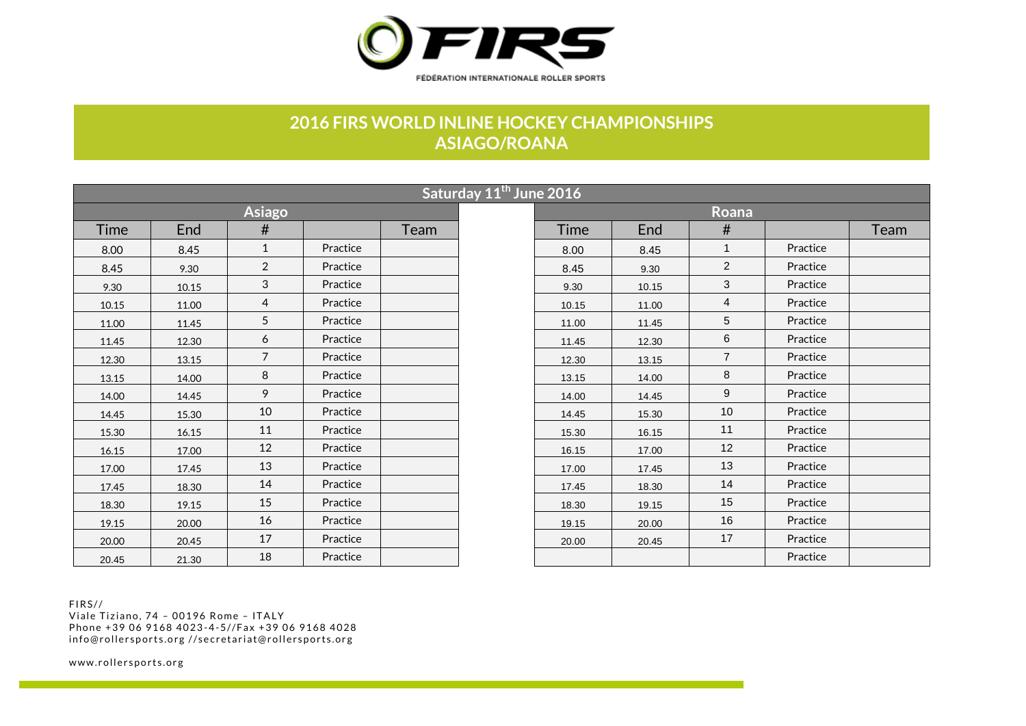

## **2016 FIRS WORLD INLINE HOCKEY CHAMPIONSHIPS ASIAGO/ROANA**

|       |       |                |          |      | Saturday 11 <sup>th</sup> June 2016 |       |       |                |          |
|-------|-------|----------------|----------|------|-------------------------------------|-------|-------|----------------|----------|
|       |       | <b>Asiago</b>  |          |      |                                     |       |       | Roana          |          |
| Time  | End   | #              |          | Team |                                     | Time  | End   | #              |          |
| 8.00  | 8.45  | $\mathbf{1}$   | Practice |      |                                     | 8.00  | 8.45  | $\mathbf{1}$   | Practice |
| 8.45  | 9.30  | 2              | Practice |      |                                     | 8.45  | 9.30  | $\overline{2}$ | Practice |
| 9.30  | 10.15 | 3              | Practice |      |                                     | 9.30  | 10.15 | 3              | Practice |
| 10.15 | 11.00 | $\overline{4}$ | Practice |      |                                     | 10.15 | 11.00 | $\overline{4}$ | Practice |
| 11.00 | 11.45 | 5              | Practice |      |                                     | 11.00 | 11.45 | 5              | Practice |
| 11.45 | 12.30 | 6              | Practice |      |                                     | 11.45 | 12.30 | 6              | Practice |
| 12.30 | 13.15 | $\overline{7}$ | Practice |      |                                     | 12.30 | 13.15 | $\overline{7}$ | Practice |
| 13.15 | 14.00 | 8              | Practice |      |                                     | 13.15 | 14.00 | 8              | Practice |
| 14.00 | 14.45 | 9              | Practice |      |                                     | 14.00 | 14.45 | 9              | Practice |
| 14.45 | 15.30 | 10             | Practice |      |                                     | 14.45 | 15.30 | 10             | Practice |
| 15.30 | 16.15 | 11             | Practice |      |                                     | 15.30 | 16.15 | 11             | Practice |
| 16.15 | 17.00 | 12             | Practice |      |                                     | 16.15 | 17.00 | 12             | Practice |
| 17.00 | 17.45 | 13             | Practice |      |                                     | 17.00 | 17.45 | 13             | Practice |
| 17.45 | 18.30 | 14             | Practice |      |                                     | 17.45 | 18.30 | 14             | Practice |
| 18.30 | 19.15 | 15             | Practice |      |                                     | 18.30 | 19.15 | 15             | Practice |
| 19.15 | 20.00 | 16             | Practice |      |                                     | 19.15 | 20.00 | 16             | Practice |
| 20.00 | 20.45 | 17             | Practice |      |                                     | 20.00 | 20.45 | 17             | Practice |
| 20.45 | 21.30 | 18             | Practice |      |                                     |       |       |                | Practice |

|       |       |                |          |      | Saturday 11 <sup>th</sup> June 2016 |       |       |                |          |      |
|-------|-------|----------------|----------|------|-------------------------------------|-------|-------|----------------|----------|------|
|       |       | <b>Asiago</b>  |          |      |                                     |       |       | Roana          |          |      |
| Time  | End   | #              |          | Team |                                     | Time  | End   | #              |          | Team |
| 8.00  | 8.45  | 1              | Practice |      |                                     | 8.00  | 8.45  | 1              | Practice |      |
| 8.45  | 9.30  | $\overline{2}$ | Practice |      |                                     | 8.45  | 9.30  | $\overline{2}$ | Practice |      |
| 9.30  | 10.15 | 3              | Practice |      |                                     | 9.30  | 10.15 | 3              | Practice |      |
| 10.15 | 11.00 | 4              | Practice |      |                                     | 10.15 | 11.00 | 4              | Practice |      |
| 11.00 | 11.45 | 5              | Practice |      |                                     | 11.00 | 11.45 | 5              | Practice |      |
| 11.45 | 12.30 | 6              | Practice |      |                                     | 11.45 | 12.30 | 6              | Practice |      |
| 12.30 | 13.15 | $\overline{7}$ | Practice |      |                                     | 12.30 | 13.15 | $\overline{7}$ | Practice |      |
| 13.15 | 14.00 | 8              | Practice |      |                                     | 13.15 | 14.00 | 8              | Practice |      |
| 14.00 | 14.45 | 9              | Practice |      |                                     | 14.00 | 14.45 | 9              | Practice |      |
| 14.45 | 15.30 | 10             | Practice |      |                                     | 14.45 | 15.30 | 10             | Practice |      |
| 15.30 | 16.15 | 11             | Practice |      |                                     | 15.30 | 16.15 | 11             | Practice |      |
| 16.15 | 17.00 | 12             | Practice |      |                                     | 16.15 | 17.00 | 12             | Practice |      |
| 17.00 | 17.45 | 13             | Practice |      |                                     | 17.00 | 17.45 | 13             | Practice |      |
| 17.45 | 18.30 | 14             | Practice |      |                                     | 17.45 | 18.30 | 14             | Practice |      |
| 18.30 | 19.15 | 15             | Practice |      |                                     | 18.30 | 19.15 | 15             | Practice |      |
| 19.15 | 20.00 | 16             | Practice |      |                                     | 19.15 | 20.00 | 16             | Practice |      |
| 20.00 | 20.45 | 17             | Practice |      |                                     | 20.00 | 20.45 | 17             | Practice |      |
| 20.45 | 21.30 | 18             | Practice |      |                                     |       |       |                | Practice |      |

 $FIRS/J$ 

Viale Tiziano, 74 - 00196 Rome - ITALY Phone +39 06 9168 4023-4-5//Fax +39 06 9168 4028 info@rollersports.org //secretariat@rollersports.org

www.rollersports.org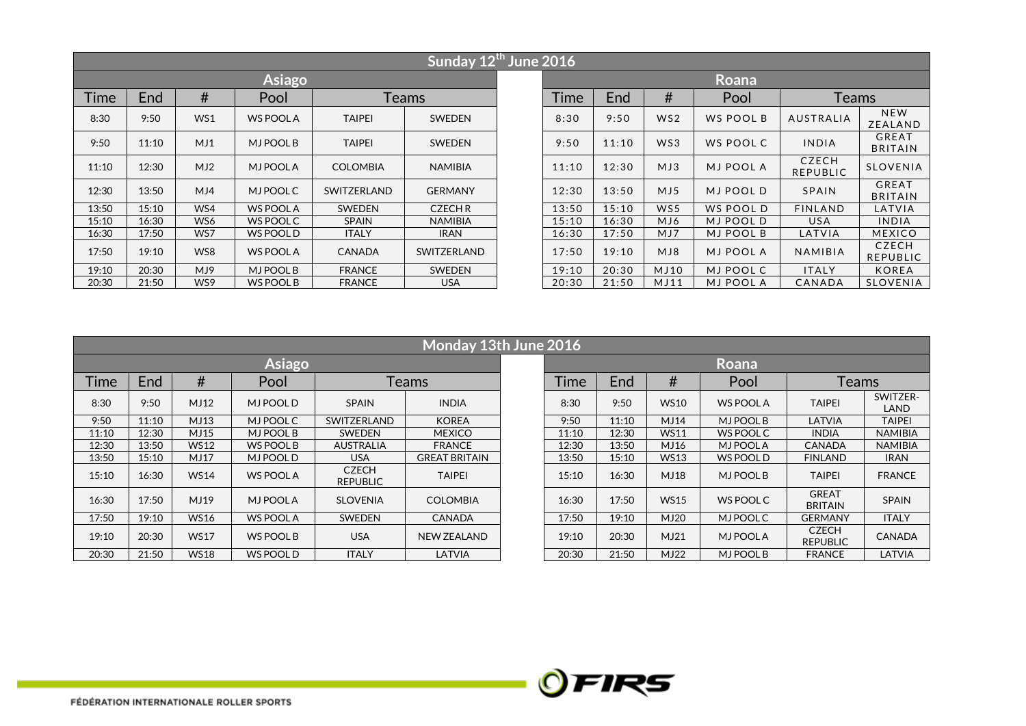|       |       |     |                  |                 | Sunday 12 <sup>th</sup> June 2016 |  |       |       |                 |                  |                                 |                                |
|-------|-------|-----|------------------|-----------------|-----------------------------------|--|-------|-------|-----------------|------------------|---------------------------------|--------------------------------|
|       |       |     | <b>Asiago</b>    |                 |                                   |  |       |       |                 | Roana            |                                 |                                |
| Time  | End   | #   | Pool             |                 | Teams                             |  |       | End   | #               | Pool             | <b>Teams</b>                    |                                |
| 8:30  | 9:50  | WS1 | <b>WS POOL A</b> | <b>TAIPEI</b>   | <b>SWEDEN</b>                     |  | 8:30  | 9:50  | WS <sub>2</sub> | WS POOL B        | AUSTRALIA                       | <b>NEW</b><br>ZEALAND          |
| 9:50  | 11:10 | MJ1 | <b>MJ POOL B</b> | <b>TAIPEI</b>   | <b>SWEDEN</b>                     |  | 9:50  | 11:10 | WS3             | WS POOL C        | <b>INDIA</b>                    | <b>GREAT</b><br><b>BRITAIN</b> |
| 11:10 | 12:30 | MJ2 | <b>MJ POOLA</b>  | <b>COLOMBIA</b> | <b>NAMIBIA</b>                    |  | 11:10 | 12:30 | MJ3             | <b>MJ POOL A</b> | <b>CZECH</b><br><b>REPUBLIC</b> | <b>SLOVENIA</b>                |
| 12:30 | 13:50 | MJA | <b>MJ POOL C</b> | SWITZERLAND     | <b>GERMANY</b>                    |  | 12:30 | 13:50 | MJ5             | MJ POOL D        | SPAIN                           | <b>GREAT</b><br><b>BRITAIN</b> |
| 13:50 | 15:10 | WS4 | <b>WS POOL A</b> | <b>SWEDEN</b>   | <b>CZECHR</b>                     |  | 13:50 | 15:10 | WS5             | WS POOL D        | FINLAND                         | LATVIA                         |
| 15:10 | 16:30 | WS6 | WS POOL C        | <b>SPAIN</b>    | <b>NAMIBIA</b>                    |  | 15:10 | 16:30 | MJ6             | MJ POOL D        | <b>USA</b>                      | INDIA                          |
| 16:30 | 17:50 | WS7 | WS POOL D        | <b>ITALY</b>    | <b>IRAN</b>                       |  | 16:30 | 17:50 | MJ7             | <b>MJ POOL B</b> | LATVIA                          | <b>MEXICO</b>                  |
| 17:50 | 19:10 | WS8 | <b>WS POOL A</b> | <b>CANADA</b>   | SWITZERLAND                       |  | 17:50 | 19:10 | MJ8             | <b>MJ POOL A</b> | NAMIBIA                         | <b>CZECH</b><br>REPUBLIC       |
| 19:10 | 20:30 | MJ9 | MJ POOL B        | <b>FRANCE</b>   | SWEDEN                            |  | 19:10 | 20:30 | MJ10            | MJ POOL C        | <b>ITALY</b>                    | <b>KOREA</b>                   |
| 20:30 | 21:50 | WS9 | WS POOL B        | <b>FRANCE</b>   | <b>USA</b>                        |  | 20:30 | 21:50 | MJ11            | <b>MJ POOL A</b> | CANADA                          | <b>SLOVENIA</b>                |

|       |       |             |                  |                                 | Monday 13th June 2016 |       |       |             |                  |                                 |                  |
|-------|-------|-------------|------------------|---------------------------------|-----------------------|-------|-------|-------------|------------------|---------------------------------|------------------|
|       |       |             | <b>Asiago</b>    |                                 |                       |       |       |             | Roana            |                                 |                  |
| Time  | End   | #           | Pool             |                                 | Teams                 | Time  | End   | #           | Pool             | Teams                           |                  |
| 8:30  | 9:50  | MJ12        | <b>MJ POOL D</b> | <b>SPAIN</b>                    | <b>INDIA</b>          | 8:30  | 9:50  | <b>WS10</b> | <b>WS POOL A</b> | <b>TAIPEI</b>                   | SWITZER-<br>LAND |
| 9:50  | 11:10 | MJ13        | MJ POOL C        | SWITZERLAND                     | <b>KOREA</b>          | 9:50  | 11:10 | MJ14        | MJ POOL B        | LATVIA                          | <b>TAIPEI</b>    |
| 11:10 | 12:30 | MJ15        | MJ POOL B        | SWEDEN                          | <b>MEXICO</b>         | 11:10 | 12:30 | <b>WS11</b> | <b>WS POOL C</b> | <b>INDIA</b>                    | <b>NAMIBIA</b>   |
| 12:30 | 13:50 | <b>WS12</b> | WS POOL B        | <b>AUSTRALIA</b>                | <b>FRANCE</b>         | 12:30 | 13:50 | MJ16        | <b>MJ POOLA</b>  | CANADA                          | <b>NAMIBIA</b>   |
| 13:50 | 15:10 | MJ17        | MJ POOL D        | <b>USA</b>                      | <b>GREAT BRITAIN</b>  | 13:50 | 15:10 | <b>WS13</b> | <b>WS POOL D</b> | <b>FINLAND</b>                  | <b>IRAN</b>      |
| 15:10 | 16:30 | <b>WS14</b> | <b>WS POOL A</b> | <b>CZECH</b><br><b>REPUBLIC</b> | TAIPEI                | 15:10 | 16:30 | MJ18        | MJ POOL B        | <b>TAIPEI</b>                   | <b>FRANCE</b>    |
| 16:30 | 17:50 | MJ19        | <b>MJ POOL A</b> | <b>SLOVENIA</b>                 | <b>COLOMBIA</b>       | 16:30 | 17:50 | <b>WS15</b> | WS POOL C        | <b>GREAT</b><br><b>BRITAIN</b>  | <b>SPAIN</b>     |
| 17:50 | 19:10 | <b>WS16</b> | <b>WS POOL A</b> | <b>SWEDEN</b>                   | <b>CANADA</b>         | 17:50 | 19:10 | <b>MJ20</b> | MJ POOL C        | <b>GERMANY</b>                  | <b>ITALY</b>     |
| 19:10 | 20:30 | <b>WS17</b> | <b>WS POOL B</b> | <b>USA</b>                      | <b>NEW ZEALAND</b>    | 19:10 | 20:30 | MJ21        | <b>MJ POOLA</b>  | <b>CZECH</b><br><b>REPUBLIC</b> | <b>CANADA</b>    |
| 20:30 | 21:50 | <b>WS18</b> | WS POOL D        | <b>ITALY</b>                    | LATVIA                | 20:30 | 21:50 | MJ22        | MJ POOL B        | <b>FRANCE</b>                   | LATVIA           |

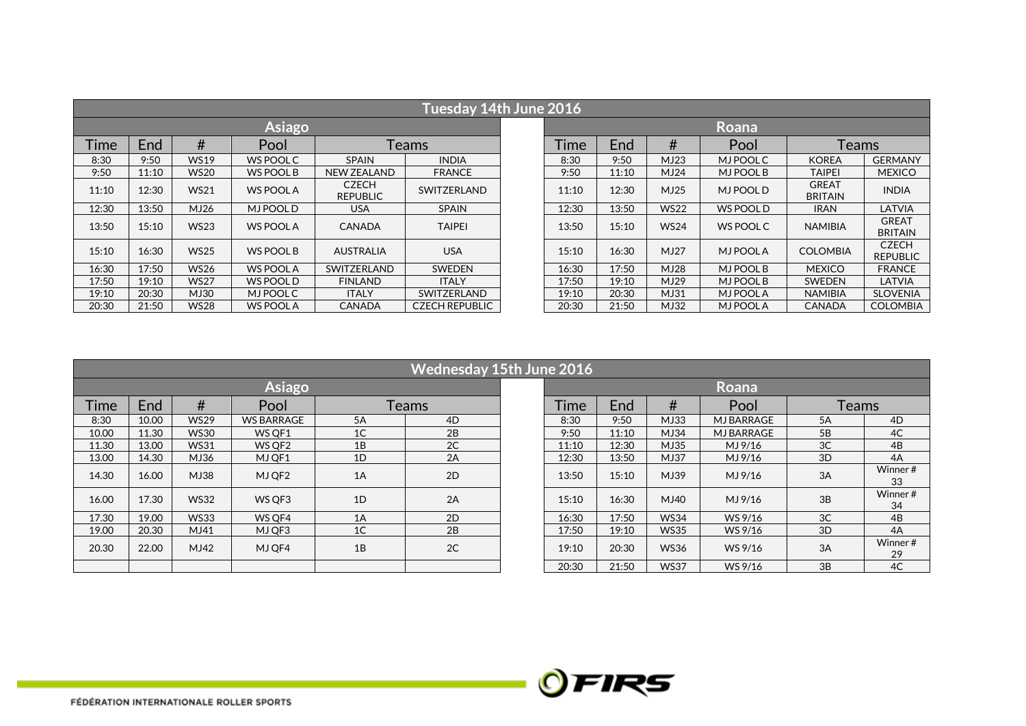|       |       |             |                  |                                 | Tuesday 14th June 2016 |  |       |       |             |                  |                                |                                 |
|-------|-------|-------------|------------------|---------------------------------|------------------------|--|-------|-------|-------------|------------------|--------------------------------|---------------------------------|
|       |       |             | <b>Asiago</b>    |                                 |                        |  |       |       |             | Roana            |                                |                                 |
| Time  | End   | #           | Pool             |                                 | Teams                  |  | 1 ime | End   | #           | Pool             | <b>Teams</b>                   |                                 |
| 8:30  | 9:50  | <b>WS19</b> | WS POOL C        | <b>SPAIN</b>                    | <b>INDIA</b>           |  | 8:30  | 9:50  | MJ23        | MJ POOL C        | <b>KOREA</b>                   | <b>GERMANY</b>                  |
| 9:50  | 11:10 | <b>WS20</b> | WS POOL B        | <b>NEW ZEALAND</b>              | <b>FRANCE</b>          |  | 9:50  | 11:10 | MJ24        | MJ POOL B        | <b>TAIPEI</b>                  | <b>MEXICO</b>                   |
| 11:10 | 12:30 | <b>WS21</b> | <b>WS POOL A</b> | <b>CZECH</b><br><b>REPUBLIC</b> | SWITZERLAND            |  | 11:10 | 12:30 | MJ25        | <b>MJ POOL D</b> | <b>GREAT</b><br><b>BRITAIN</b> | <b>INDIA</b>                    |
| 12:30 | 13:50 | MJ26        | <b>MJ POOLD</b>  | <b>USA</b>                      | <b>SPAIN</b>           |  | 12:30 | 13:50 | <b>WS22</b> | <b>WS POOL D</b> | <b>IRAN</b>                    | LATVIA                          |
| 13:50 | 15:10 | <b>WS23</b> | <b>WS POOL A</b> | <b>CANADA</b>                   | <b>TAIPEI</b>          |  | 13:50 | 15:10 | <b>WS24</b> | <b>WS POOL C</b> | <b>NAMIBIA</b>                 | <b>GREAT</b><br><b>BRITAIN</b>  |
| 15:10 | 16:30 | <b>WS25</b> | <b>WS POOL B</b> | <b>AUSTRALIA</b>                | <b>USA</b>             |  | 15:10 | 16:30 | MJ27        | <b>MJ POOLA</b>  | <b>COLOMBIA</b>                | <b>CZECH</b><br><b>REPUBLIC</b> |
| 16:30 | 17:50 | <b>WS26</b> | <b>WS POOL A</b> | SWITZERLAND                     | <b>SWEDEN</b>          |  | 16:30 | 17:50 | <b>MJ28</b> | MJ POOL B        | <b>MEXICO</b>                  | <b>FRANCE</b>                   |
| 17:50 | 19:10 | <b>WS27</b> | WS POOL D        | <b>FINLAND</b>                  | <b>ITALY</b>           |  | 17:50 | 19:10 | MJ29        | MJ POOL B        | <b>SWEDEN</b>                  | <b>LATVIA</b>                   |
| 19:10 | 20:30 | MJ30        | <b>MJPOOLC</b>   | <b>ITALY</b>                    | SWITZERLAND            |  | 19:10 | 20:30 | MJ31        | <b>MJ POOLA</b>  | <b>NAMIBIA</b>                 | <b>SLOVENIA</b>                 |
| 20:30 | 21:50 | <b>WS28</b> | <b>WS POOL A</b> | <b>CANADA</b>                   | <b>CZECH REPUBLIC</b>  |  | 20:30 | 21:50 | MJ32        | <b>MJ POOLA</b>  | <b>CANADA</b>                  | <b>COLOMBIA</b>                 |

|             | Wednesday 15th June 2016 |             |                   |                |    |  |       |       |             |                   |                |               |  |  |
|-------------|--------------------------|-------------|-------------------|----------------|----|--|-------|-------|-------------|-------------------|----------------|---------------|--|--|
|             |                          |             | <b>Asiago</b>     |                |    |  |       |       |             | Roana             |                |               |  |  |
| <b>Time</b> | End                      | #           | Pool              | Teams          |    |  | Time  | End   | #           | Pool              | <b>Teams</b>   |               |  |  |
| 8:30        | 10.00                    | <b>WS29</b> | <b>WS BARRAGE</b> | 5A             | 4D |  | 8:30  | 9:50  | MJ33        | <b>MJ BARRAGE</b> | 5A             | 4D            |  |  |
| 10.00       | 11.30                    | <b>WS30</b> | WS OF 1           | 1 <sup>C</sup> | 2B |  | 9:50  | 11:10 | MJ34        | <b>MJ BARRAGE</b> | 5B             | 4C            |  |  |
| 11.30       | 13.00                    | <b>WS31</b> | WS OF 2           | 1B             | 2C |  | 11:10 | 12:30 | MJ35        | MJ 9/16           | 3 <sup>C</sup> | 4B            |  |  |
| 13.00       | 14.30                    | MJ36        | MJ OF1            | 1D             | 2A |  | 12:30 | 13:50 | MJ37        | MJ 9/16           | 3D             | 4A            |  |  |
| 14.30       | 16.00                    | MJ38        | MJ QF2            | 1A             | 2D |  | 13:50 | 15:10 | MJ39        | MJ 9/16           | 3A             | Winner#<br>33 |  |  |
| 16.00       | 17.30                    | <b>WS32</b> | WS QF3            | 1D             | 2A |  | 15:10 | 16:30 | MJ40        | MJ 9/16           | 3B             | Winner#<br>34 |  |  |
| 17.30       | 19.00                    | <b>WS33</b> | WS OF4            | 1A             | 2D |  | 16:30 | 17:50 | <b>WS34</b> | WS 9/16           | 3 <sup>C</sup> | 4B            |  |  |
| 19.00       | 20.30                    | MJ41        | MJ OF3            | 1 <sup>C</sup> | 2B |  | 17:50 | 19:10 | <b>WS35</b> | WS 9/16           | 3D             | 4A            |  |  |
| 20.30       | 22.00                    | MJ42        | MJ QF4            | 1B             | 2C |  | 19:10 | 20:30 | <b>WS36</b> | WS 9/16           | 3A             | Winner#<br>29 |  |  |
|             |                          |             |                   |                |    |  | 20:30 | 21:50 | <b>WS37</b> | WS 9/16           | 3B             | 4C            |  |  |

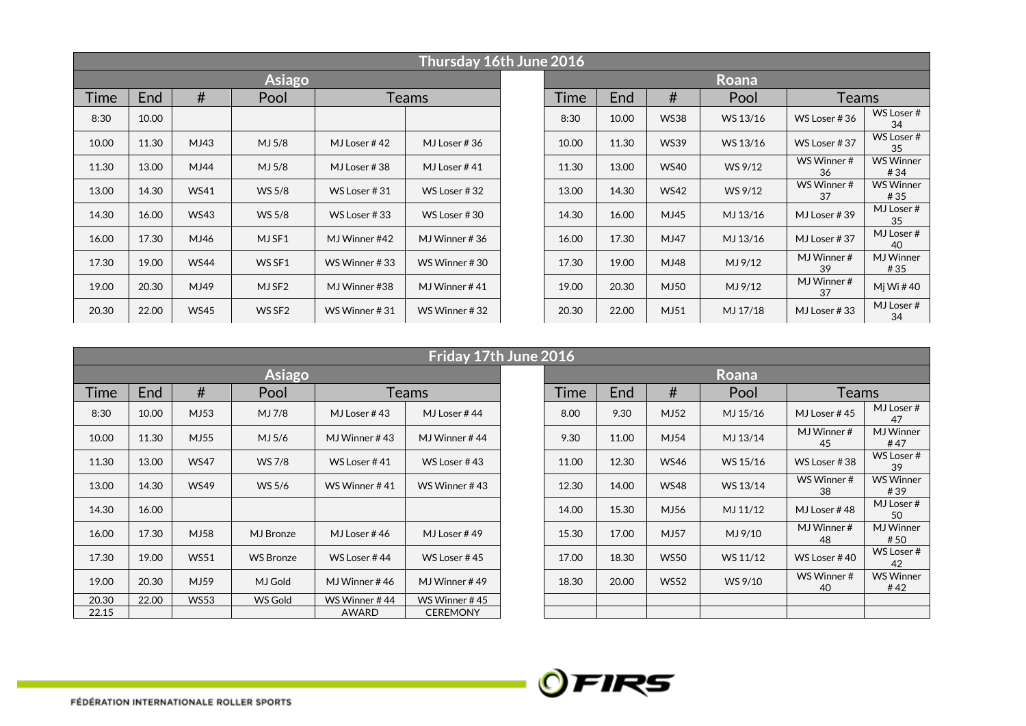|       |       |             |                    |               | Thursday 16th June 2016 |  |       |       |             |          |                     |                          |
|-------|-------|-------------|--------------------|---------------|-------------------------|--|-------|-------|-------------|----------|---------------------|--------------------------|
|       |       |             | <b>Asiago</b>      |               |                         |  |       |       |             | Roana    |                     |                          |
| Time  | End   | #           | Pool               |               | Teams                   |  | Time  | End   | #           | Pool     | Teams               |                          |
| 8:30  | 10.00 |             |                    |               |                         |  | 8:30  | 10.00 | <b>WS38</b> | WS 13/16 | WS Loser #36        | WS Loser #<br>34         |
| 10.00 | 11.30 | MJ43        | MJ 5/8             | MJ Loser #42  | MJ Loser #36            |  | 10.00 | 11.30 | <b>WS39</b> | WS 13/16 | WS Loser #37        | WS Loser #<br>35         |
| 11.30 | 13.00 | MJ44        | MJ 5/8             | MJ Loser #38  | MJ Loser #41            |  | 11.30 | 13.00 | <b>WS40</b> | WS 9/12  | WS Winner #<br>36   | <b>WS Winner</b><br>#34  |
| 13.00 | 14.30 | <b>WS41</b> | WS 5/8             | WS Loser #31  | WS Loser #32            |  | 13.00 | 14.30 | <b>WS42</b> | WS 9/12  | WS Winner #<br>37   | <b>WS Winner</b><br># 35 |
| 14.30 | 16.00 | <b>WS43</b> | WS 5/8             | WS Loser #33  | WS Loser #30            |  | 14.30 | 16.00 | MJ45        | MJ 13/16 | MJ Loser #39        | MJ Loser#<br>35          |
| 16.00 | 17.30 | MJ46        | MJ SF1             | MJ Winner #42 | MJ Winner #36           |  | 16.00 | 17.30 | MJ47        | MJ 13/16 | MJ Loser #37        | MJ Loser #<br>40         |
| 17.30 | 19.00 | <b>WS44</b> | WS SF1             | WS Winner #33 | WS Winner #30           |  | 17.30 | 19.00 | MJ48        | MJ 9/12  | MJ Winner $#$<br>39 | <b>MJ</b> Winner<br># 35 |
| 19.00 | 20.30 | MJ49        | MJ SF2             | MJ Winner #38 | MJ Winner #41           |  | 19.00 | 20.30 | MJ50        | MJ 9/12  | MJ Winner#<br>37    | Mj Wi #40                |
| 20.30 | 22.00 | <b>WS45</b> | WS SF <sub>2</sub> | WS Winner #31 | WS Winner #32           |  | 20.30 | 22.00 | MJ51        | MJ 17/18 | MJ Loser #33        | MJ Loser#<br>34          |

|       |       |             |                  |               | Friday 17th June 2016 |       |       |             |          |                     |                         |
|-------|-------|-------------|------------------|---------------|-----------------------|-------|-------|-------------|----------|---------------------|-------------------------|
|       |       |             | <b>Asiago</b>    |               |                       |       |       |             | Roana    |                     |                         |
| Time  | End   | #           | Pool             |               | Teams                 | Time  | End   | #           | Pool     | <b>Teams</b>        |                         |
| 8:30  | 10.00 | MJ53        | MJ 7/8           | MJ Loser #43  | MJ Loser #44          | 8.00  | 9.30  | MJ52        | MJ 15/16 | MJ Loser #45        | MJ Loser#<br>47         |
| 10.00 | 11.30 | MJ55        | MJ 5/6           | MJ Winner #43 | MJ Winner #44         | 9.30  | 11.00 | MJ54        | MJ 13/14 | MJ Winner $#$<br>45 | <b>MJ</b> Winner<br>#47 |
| 11.30 | 13.00 | <b>WS47</b> | WS 7/8           | WS Loser #41  | WS Loser #43          | 11.00 | 12.30 | <b>WS46</b> | WS 15/16 | WS Loser #38        | WS Loser #<br>39        |
| 13.00 | 14.30 | <b>WS49</b> | WS 5/6           | WS Winner #41 | WS Winner #43         | 12.30 | 14.00 | <b>WS48</b> | WS 13/14 | WS Winner #<br>38   | <b>WS Winner</b><br>#39 |
| 14.30 | 16.00 |             |                  |               |                       | 14.00 | 15.30 | MJ56        | MJ 11/12 | MJ Loser #48        | MJ Loser#<br>50         |
| 16.00 | 17.30 | MJ58        | MJ Bronze        | MJ Loser #46  | MJ Loser #49          | 15.30 | 17.00 | MJ57        | MJ 9/10  | MJ Winner #<br>48   | <b>MJ</b> Winner<br>#50 |
| 17.30 | 19.00 | <b>WS51</b> | <b>WS Bronze</b> | WS Loser #44  | WS Loser $#45$        | 17.00 | 18.30 | <b>WS50</b> | WS 11/12 | WS Loser $#40$      | WS Loser#<br>42         |
| 19.00 | 20.30 | MJ59        | MJ Gold          | MJ Winner #46 | MJ Winner #49         | 18.30 | 20.00 | <b>WS52</b> | WS 9/10  | WS Winner #<br>40   | <b>WS Winner</b><br>#42 |
| 20.30 | 22.00 | <b>WS53</b> | WS Gold          | WS Winner #44 | WS Winner #45         |       |       |             |          |                     |                         |
| 22.15 |       |             |                  | AWARD         | <b>CEREMONY</b>       |       |       |             |          |                     |                         |

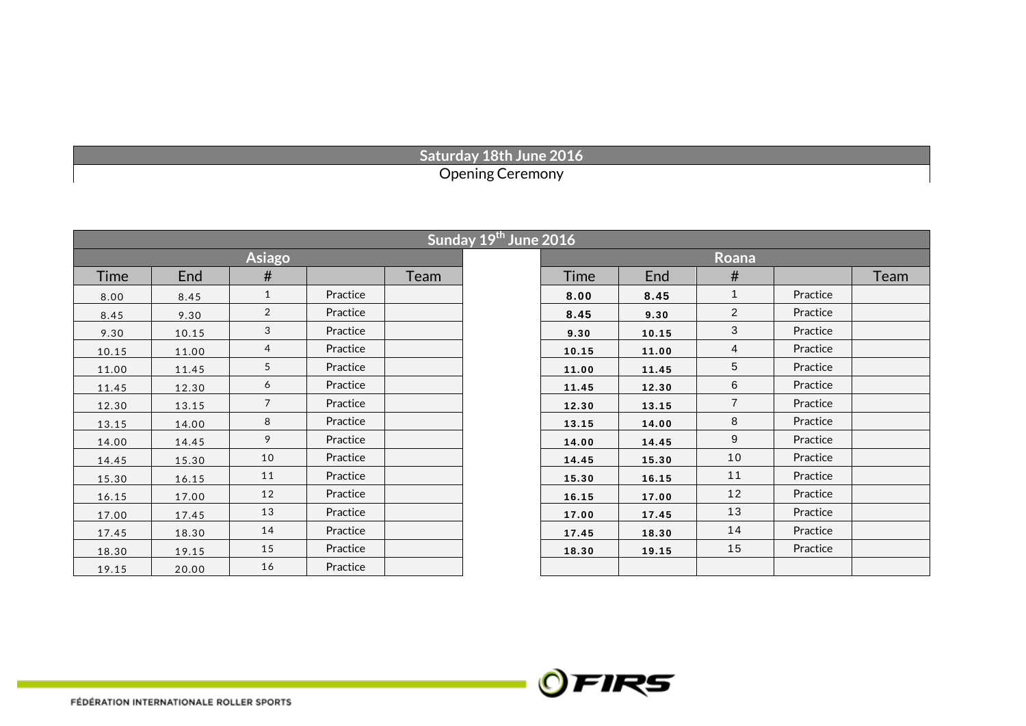## **Saturday 18th June 2016** Opening Ceremony

|       |       |                |          |      | Sunday 19th June 2016 |       |       |                |          |      |
|-------|-------|----------------|----------|------|-----------------------|-------|-------|----------------|----------|------|
|       |       | <b>Asiago</b>  |          |      |                       |       |       | <b>Roana</b>   |          |      |
| Time  | End   | #              |          | Team |                       | Time  | End   | #              |          | Team |
| 8.00  | 8.45  | $\mathbf{1}$   | Practice |      |                       | 8.00  | 8.45  | $\mathbf{1}$   | Practice |      |
| 8.45  | 9.30  | $\overline{2}$ | Practice |      |                       | 8.45  | 9.30  | $\overline{2}$ | Practice |      |
| 9.30  | 10.15 | 3              | Practice |      |                       | 9.30  | 10.15 | 3              | Practice |      |
| 10.15 | 11.00 | 4              | Practice |      |                       | 10.15 | 11.00 | $\overline{4}$ | Practice |      |
| 11.00 | 11.45 | 5              | Practice |      |                       | 11.00 | 11.45 | 5              | Practice |      |
| 11.45 | 12.30 | 6              | Practice |      |                       | 11.45 | 12.30 | 6              | Practice |      |
| 12.30 | 13.15 | $\overline{7}$ | Practice |      |                       | 12.30 | 13.15 | $\overline{7}$ | Practice |      |
| 13.15 | 14.00 | 8              | Practice |      |                       | 13.15 | 14.00 | 8              | Practice |      |
| 14.00 | 14.45 | 9              | Practice |      |                       | 14.00 | 14.45 | 9              | Practice |      |
| 14.45 | 15.30 | 10             | Practice |      |                       | 14.45 | 15.30 | 10             | Practice |      |
| 15.30 | 16.15 | 11             | Practice |      |                       | 15.30 | 16.15 | 11             | Practice |      |
| 16.15 | 17.00 | 12             | Practice |      |                       | 16.15 | 17.00 | 12             | Practice |      |
| 17.00 | 17.45 | 13             | Practice |      |                       | 17.00 | 17.45 | 13             | Practice |      |
| 17.45 | 18.30 | 14             | Practice |      |                       | 17.45 | 18.30 | 14             | Practice |      |
| 18.30 | 19.15 | 15             | Practice |      |                       | 18.30 | 19.15 | 15             | Practice |      |
| 19.15 | 20.00 | 16             | Practice |      |                       |       |       |                |          |      |

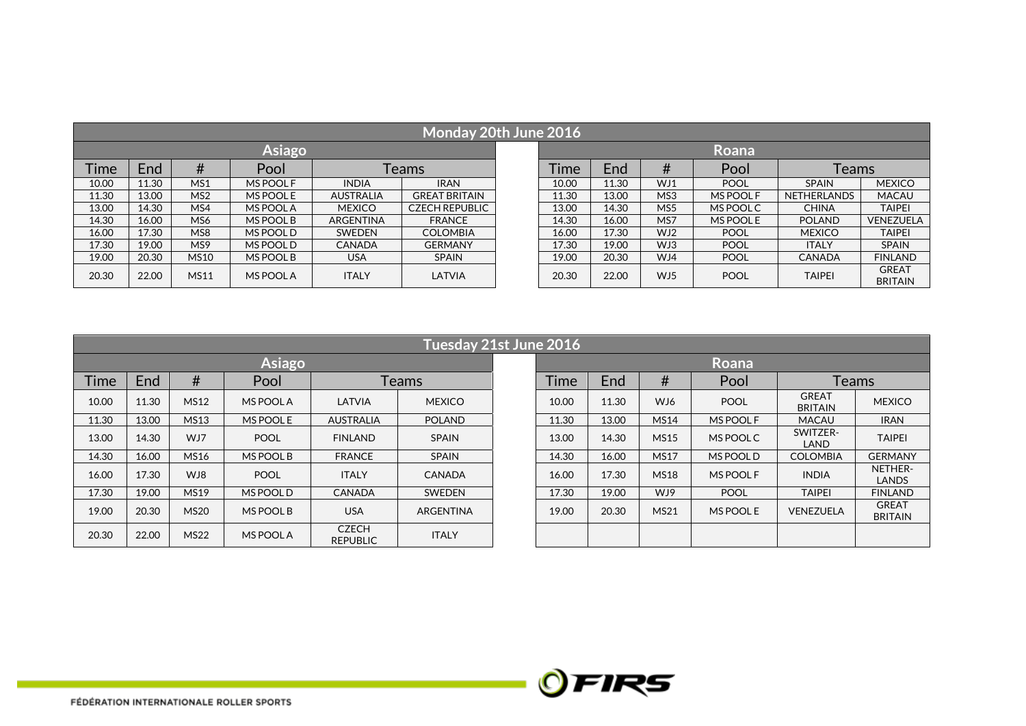|             | Monday 20th June 2016 |             |           |                  |                       |  |             |       |                 |             |               |                                |  |  |
|-------------|-----------------------|-------------|-----------|------------------|-----------------------|--|-------------|-------|-----------------|-------------|---------------|--------------------------------|--|--|
|             |                       |             | Asiago    |                  |                       |  |             |       |                 | Roana       |               |                                |  |  |
| <b>Time</b> | Pool<br>Teams<br>End  |             |           |                  |                       |  | <b>Time</b> | End   | #               | Pool        | Teams         |                                |  |  |
| 10.00       | 11.30                 | MS1         | MS POOL F | <b>INDIA</b>     | <b>IRAN</b>           |  | 10.00       | 11.30 | WJ1             | <b>POOL</b> | <b>SPAIN</b>  | <b>MEXICO</b>                  |  |  |
| 11.30       | 13.00                 | MS2         | MS POOL E | <b>AUSTRALIA</b> | <b>GREAT BRITAIN</b>  |  | 11.30       | 13.00 | MS3             | MS POOL F   | NETHERLANDS   | <b>MACAU</b>                   |  |  |
| 13.00       | 14.30                 | MS4         | MS POOL A | <b>MEXICO</b>    | <b>CZECH REPUBLIC</b> |  | 13.00       | 14.30 | MS <sub>5</sub> | MS POOL C   | <b>CHINA</b>  | <b>TAIPEI</b>                  |  |  |
| 14.30       | 16.00                 | MS6         | MS POOL B | <b>ARGENTINA</b> | <b>FRANCE</b>         |  | 14.30       | 16.00 | MS7             | MS POOL E   | <b>POLAND</b> | <b>VENEZUELA</b>               |  |  |
| 16.00       | 17.30                 | MS8         | MS POOL D | <b>SWEDEN</b>    | <b>COLOMBIA</b>       |  | 16.00       | 17.30 | WJ2             | <b>POOL</b> | <b>MEXICO</b> | <b>TAIPEI</b>                  |  |  |
| 17.30       | 19.00                 | MS9         | MS POOL D | <b>CANADA</b>    | <b>GERMANY</b>        |  | 17.30       | 19.00 | WJ3             | <b>POOL</b> | <b>ITALY</b>  | <b>SPAIN</b>                   |  |  |
| 19.00       | 20.30                 | <b>MS10</b> | MS POOL B | <b>USA</b>       | <b>SPAIN</b>          |  | 19.00       | 20.30 | WJ4             | <b>POOL</b> | <b>CANADA</b> | <b>FINLAND</b>                 |  |  |
| 20.30       | 22.00                 | <b>MS11</b> | MS POOL A | <b>ITALY</b>     | LATVIA                |  | 20.30       | 22.00 | WJ5             | <b>POOL</b> | <b>TAIPEI</b> | <b>GREAT</b><br><b>BRITAIN</b> |  |  |

|             | Tuesday 21st June 2016 |             |               |                          |                  |  |       |       |             |             |                                |                                |  |  |
|-------------|------------------------|-------------|---------------|--------------------------|------------------|--|-------|-------|-------------|-------------|--------------------------------|--------------------------------|--|--|
|             |                        |             | <b>Asiago</b> |                          |                  |  |       |       |             | Roana       |                                |                                |  |  |
| <b>Time</b> | End                    | #           | Pool          |                          | <b>Teams</b>     |  |       | End   | #           | Pool        | <b>Teams</b>                   |                                |  |  |
| 10.00       | 11.30                  | <b>MS12</b> | MS POOL A     | LATVIA                   | <b>MEXICO</b>    |  | 10.00 | 11.30 | WJ6         | <b>POOL</b> | <b>GREAT</b><br><b>BRITAIN</b> | <b>MEXICO</b>                  |  |  |
| 11.30       | 13.00                  | <b>MS13</b> | MS POOL E     | <b>AUSTRALIA</b>         | <b>POLAND</b>    |  | 11.30 | 13.00 | <b>MS14</b> | MS POOL F   | <b>MACAU</b>                   | <b>IRAN</b>                    |  |  |
| 13.00       | 14.30                  | WJ7         | <b>POOL</b>   | <b>FINLAND</b>           | <b>SPAIN</b>     |  | 13.00 | 14.30 | <b>MS15</b> | MS POOL C   | SWITZER-<br>LAND               | <b>TAIPEI</b>                  |  |  |
| 14.30       | 16.00                  | <b>MS16</b> | MS POOL B     | <b>FRANCE</b>            | <b>SPAIN</b>     |  | 14.30 | 16.00 | <b>MS17</b> | MS POOL D   | <b>COLOMBIA</b>                | <b>GERMANY</b>                 |  |  |
| 16.00       | 17.30                  | WJ8         | <b>POOL</b>   | <b>ITALY</b>             | <b>CANADA</b>    |  | 16.00 | 17.30 | <b>MS18</b> | MS POOL F   | <b>INDIA</b>                   | NETHER-<br>LANDS               |  |  |
| 17.30       | 19.00                  | <b>MS19</b> | MS POOL D     | <b>CANADA</b>            | <b>SWEDEN</b>    |  | 17.30 | 19.00 | WJ9         | <b>POOL</b> | <b>TAIPEI</b>                  | <b>FINLAND</b>                 |  |  |
| 19.00       | 20.30                  | <b>MS20</b> | MS POOL B     | <b>USA</b>               | <b>ARGENTINA</b> |  | 19.00 | 20.30 | <b>MS21</b> | MS POOL E   | <b>VENEZUELA</b>               | <b>GREAT</b><br><b>BRITAIN</b> |  |  |
| 20.30       | 22.00                  | <b>MS22</b> | MS POOL A     | <b>CZECH</b><br>REPURLIC | <b>ITALY</b>     |  |       |       |             |             |                                |                                |  |  |

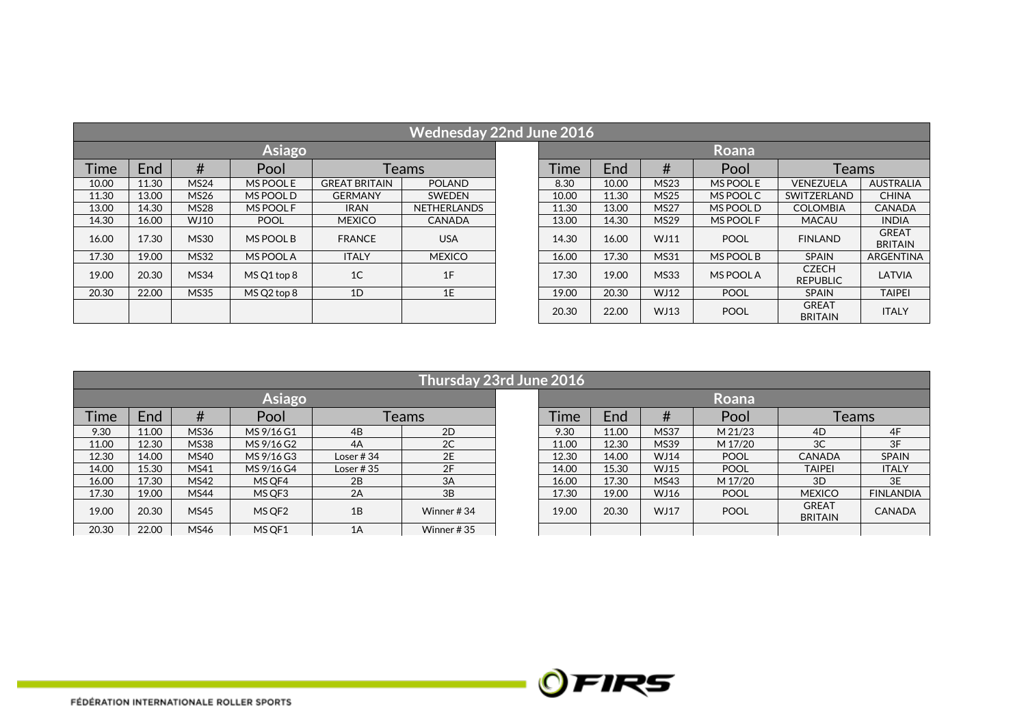|             | <b>Wednesday 22nd June 2016</b> |             |             |                      |                    |  |       |            |             |             |                                 |                                |  |  |
|-------------|---------------------------------|-------------|-------------|----------------------|--------------------|--|-------|------------|-------------|-------------|---------------------------------|--------------------------------|--|--|
|             |                                 |             | Asiago      |                      |                    |  |       |            |             | Roana       |                                 |                                |  |  |
| <b>Time</b> | End                             | #           | Pool        |                      | Teams              |  |       | <b>End</b> | #           | Pool        | Teams                           |                                |  |  |
| 10.00       | 11.30                           | <b>MS24</b> | MS POOL E   | <b>GREAT BRITAIN</b> | <b>POLAND</b>      |  | 8.30  | 10.00      | <b>MS23</b> | MS POOL E   | VENEZUELA                       | <b>AUSTRALIA</b>               |  |  |
| 11.30       | 13.00                           | <b>MS26</b> | MS POOL D   | <b>GERMANY</b>       | SWEDEN             |  | 10.00 | 11.30      | <b>MS25</b> | MS POOL C   | SWITZERLAND                     | <b>CHINA</b>                   |  |  |
| 13.00       | 14.30                           | <b>MS28</b> | MS POOL F   | <b>IRAN</b>          | <b>NETHERLANDS</b> |  | 11.30 | 13.00      | <b>MS27</b> | MS POOL D   | <b>COLOMBIA</b>                 | <b>CANADA</b>                  |  |  |
| 14.30       | 16.00                           | WJ10        | <b>POOL</b> | <b>MEXICO</b>        | <b>CANADA</b>      |  | 13.00 | 14.30      | <b>MS29</b> | MS POOL F   | <b>MACAU</b>                    | <b>INDIA</b>                   |  |  |
| 16.00       | 17.30                           | <b>MS30</b> | MS POOL B   | <b>FRANCE</b>        | <b>USA</b>         |  | 14.30 | 16.00      | WJ11        | <b>POOL</b> | <b>FINLAND</b>                  | <b>GREAT</b><br><b>BRITAIN</b> |  |  |
| 17.30       | 19.00                           | <b>MS32</b> | MS POOL A   | <b>ITALY</b>         | <b>MEXICO</b>      |  | 16.00 | 17.30      | <b>MS31</b> | MS POOL B   | <b>SPAIN</b>                    | <b>ARGENTINA</b>               |  |  |
| 19.00       | 20.30                           | <b>MS34</b> | MS Q1 top 8 | 1 <sup>C</sup>       | 1F                 |  | 17.30 | 19.00      | <b>MS33</b> | MS POOL A   | <b>CZECH</b><br><b>REPUBLIC</b> | LATVIA                         |  |  |
| 20.30       | 22.00                           | <b>MS35</b> | MS Q2 top 8 | 1D                   | 1E                 |  | 19.00 | 20.30      | WJ12        | <b>POOL</b> | <b>SPAIN</b>                    | <b>TAIPEI</b>                  |  |  |
|             |                                 |             |             |                      |                    |  | 20.30 | 22.00      | WJ13        | <b>POOL</b> | <b>GREAT</b><br><b>BRITAIN</b>  | <b>ITALY</b>                   |  |  |

| Thursday 23rd June 2016 |       |             |                    |              |               |  |             |       |             |             |                                |                  |
|-------------------------|-------|-------------|--------------------|--------------|---------------|--|-------------|-------|-------------|-------------|--------------------------------|------------------|
| Asiago                  |       |             |                    |              |               |  | Roana       |       |             |             |                                |                  |
| <b>Time</b>             | End   | #           | Pool               | Teams        |               |  | <b>Time</b> | End   | #           | Pool        | Teams                          |                  |
| 9.30                    | 11.00 | <b>MS36</b> | MS 9/16 G1         | 4B           | 2D            |  | 9.30        | 11.00 | <b>MS37</b> | M 21/23     | 4D                             | 4F               |
| 11.00                   | 12.30 | <b>MS38</b> | MS 9/16 G2         | 4A           | 2C            |  | 11.00       | 12.30 | <b>MS39</b> | M 17/20     | 3C                             | 3F               |
| 12.30                   | 14.00 | <b>MS40</b> | MS 9/16 G3         | Loser $#34$  | 2E            |  | 12.30       | 14.00 | WJ14        | <b>POOL</b> | <b>CANADA</b>                  | <b>SPAIN</b>     |
| 14.00                   | 15.30 | MS41        | MS 9/16 G4         | Loser # $35$ | 2F            |  | 14.00       | 15.30 | <b>WJ15</b> | <b>POOL</b> | <b>TAIPEI</b>                  | <b>ITALY</b>     |
| 16.00                   | 17.30 | <b>MS42</b> | MS OF4             | 2B           | 3A            |  | 16.00       | 17.30 | MS43        | M 17/20     | 3D                             | 3E               |
| 17.30                   | 19.00 | <b>MS44</b> | MS QF3             | 2A           | 3B            |  | 17.30       | 19.00 | WJ16        | <b>POOL</b> | <b>MEXICO</b>                  | <b>FINLANDIA</b> |
| 19.00                   | 20.30 | <b>MS45</b> | MS QF <sub>2</sub> | 1B           | Winner #34    |  | 19.00       | 20.30 | WJ17        | <b>POOL</b> | <b>GREAT</b><br><b>BRITAIN</b> | <b>CANADA</b>    |
| 20.30                   | 22.00 | MS46        | MS OF 1            | 1A           | Winner # $35$ |  |             |       |             |             |                                |                  |